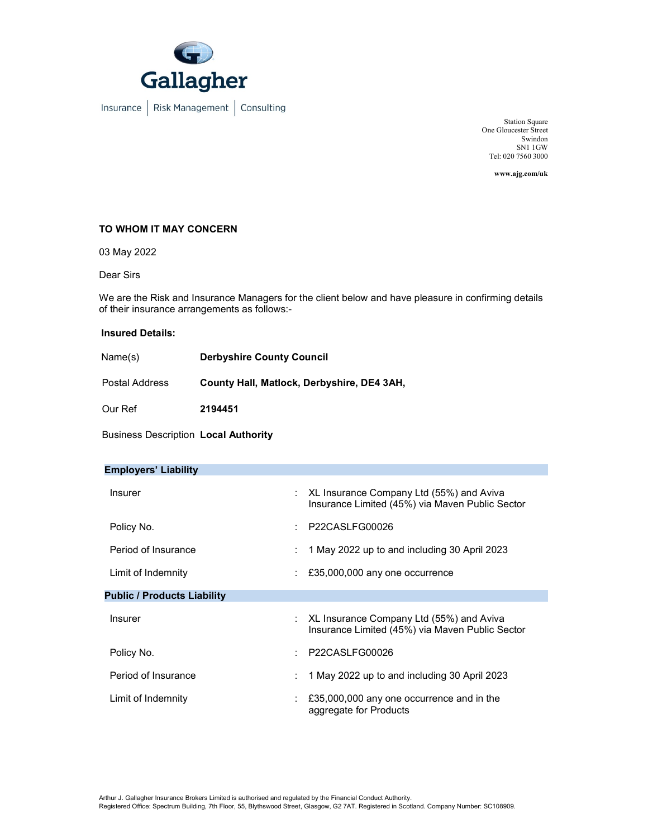

Station Square One Gloucester Street Swindon SN1 1GW Tel: 020 7560 3000

www.ajg.com/uk

## TO WHOM IT MAY CONCERN

03 May 2022

Dear Sirs

We are the Risk and Insurance Managers for the client below and have pleasure in confirming details of their insurance arrangements as follows:-

## Insured Details:

| Name(s)               | <b>Derbyshire County Council</b>           |
|-----------------------|--------------------------------------------|
| <b>Postal Address</b> | County Hall, Matlock, Derbyshire, DE4 3AH, |
| Our Ref               | 2194451                                    |

Business Description Local Authority

| <b>Employers' Liability</b>        |   |                                                                                               |
|------------------------------------|---|-----------------------------------------------------------------------------------------------|
| <b>Insurer</b>                     |   | : XL Insurance Company Ltd (55%) and Aviva<br>Insurance Limited (45%) via Maven Public Sector |
| Policy No.                         |   | P22CASLFG00026                                                                                |
| Period of Insurance                | ÷ | 1 May 2022 up to and including 30 April 2023                                                  |
| Limit of Indemnity                 |   | £35,000,000 any one occurrence                                                                |
| <b>Public / Products Liability</b> |   |                                                                                               |
| <b>Insurer</b>                     | ÷ | XL Insurance Company Ltd (55%) and Aviva<br>Insurance Limited (45%) via Maven Public Sector   |
| Policy No.                         |   | P22CASLFG00026                                                                                |
| Period of Insurance                |   | 1 May 2022 up to and including 30 April 2023                                                  |
| Limit of Indemnity                 |   | £35,000,000 any one occurrence and in the<br>aggregate for Products                           |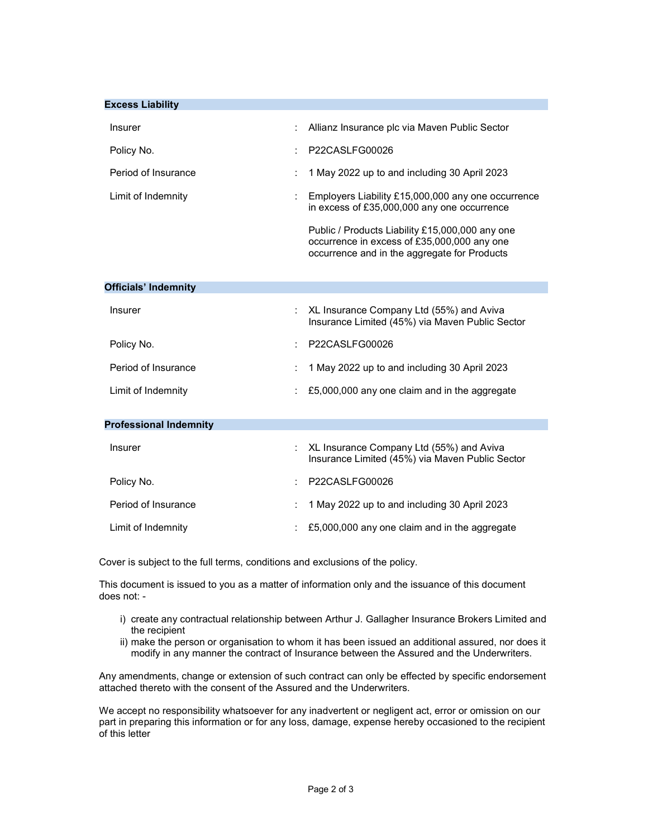| <b>Excess Liability</b>       |   |                                                                                                                                                      |
|-------------------------------|---|------------------------------------------------------------------------------------------------------------------------------------------------------|
| <b>Insurer</b>                |   | Allianz Insurance plc via Maven Public Sector                                                                                                        |
| Policy No.                    |   | P22CASLFG00026                                                                                                                                       |
| Period of Insurance           | t | 1 May 2022 up to and including 30 April 2023                                                                                                         |
| Limit of Indemnity            | , | Employers Liability £15,000,000 any one occurrence<br>in excess of £35,000,000 any one occurrence<br>Public / Products Liability £15,000,000 any one |
|                               |   | occurrence in excess of £35,000,000 any one<br>occurrence and in the aggregate for Products                                                          |
| <b>Officials' Indemnity</b>   |   |                                                                                                                                                      |
|                               |   |                                                                                                                                                      |
| <b>Insurer</b>                |   | XL Insurance Company Ltd (55%) and Aviva<br>Insurance Limited (45%) via Maven Public Sector                                                          |
| Policy No.                    |   | P22CASLFG00026                                                                                                                                       |
| Period of Insurance           | t | 1 May 2022 up to and including 30 April 2023                                                                                                         |
| Limit of Indemnity            |   | £5,000,000 any one claim and in the aggregate                                                                                                        |
|                               |   |                                                                                                                                                      |
| <b>Professional Indemnity</b> |   |                                                                                                                                                      |
| <b>Insurer</b>                |   | XL Insurance Company Ltd (55%) and Aviva<br>Insurance Limited (45%) via Maven Public Sector                                                          |
| Policy No.                    |   | P22CASLFG00026                                                                                                                                       |
| Period of Insurance           |   | 1 May 2022 up to and including 30 April 2023                                                                                                         |
| Limit of Indemnity            |   | £5,000,000 any one claim and in the aggregate                                                                                                        |

Cover is subject to the full terms, conditions and exclusions of the policy.

This document is issued to you as a matter of information only and the issuance of this document does not: -

- i) create any contractual relationship between Arthur J. Gallagher Insurance Brokers Limited and the recipient
- ii) make the person or organisation to whom it has been issued an additional assured, nor does it modify in any manner the contract of Insurance between the Assured and the Underwriters.

Any amendments, change or extension of such contract can only be effected by specific endorsement attached thereto with the consent of the Assured and the Underwriters.

We accept no responsibility whatsoever for any inadvertent or negligent act, error or omission on our part in preparing this information or for any loss, damage, expense hereby occasioned to the recipient of this letter